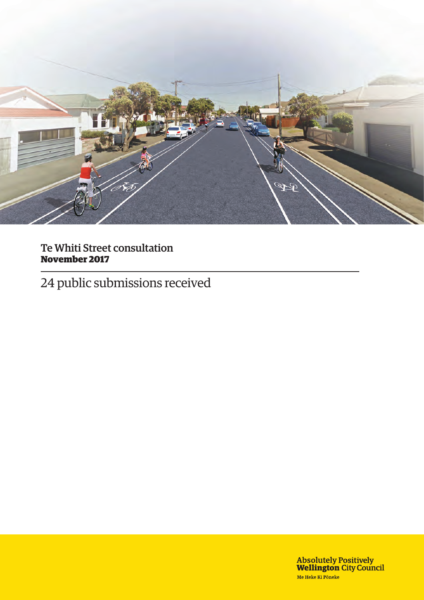

Te Whiti Street consultation November 2017

24 public submissions received

**Absolutely Positively<br>Wellington City Council** Me Heke Ki Pöneke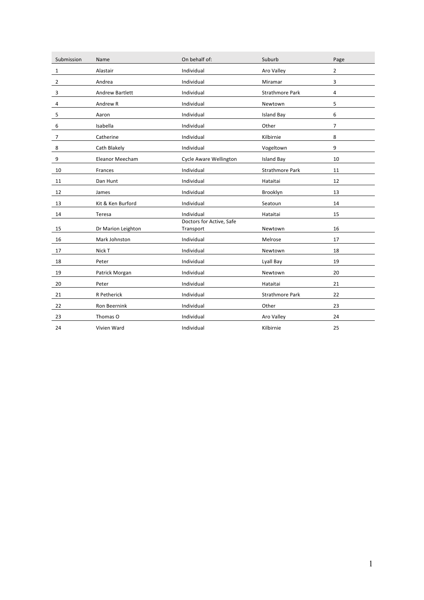| Submission     | Name                   | On behalf of:                         | Suburb                 | Page |
|----------------|------------------------|---------------------------------------|------------------------|------|
| $\mathbf{1}$   | Alastair               | Individual                            | Aro Valley             | 2    |
| $\overline{2}$ | Andrea                 | Individual                            | Miramar                | 3    |
| 3              | <b>Andrew Bartlett</b> | Individual                            | <b>Strathmore Park</b> | 4    |
| 4              | Andrew R               | Individual                            | Newtown                | 5    |
| 5              | Aaron                  | Individual                            | <b>Island Bay</b>      | 6    |
| 6              | Isabella               | Individual                            | Other                  | 7    |
| 7              | Catherine              | Individual                            | Kilbirnie              | 8    |
| 8              | Cath Blakely           | Individual                            | Vogeltown              | 9    |
| 9              | Eleanor Meecham        | Cycle Aware Wellington                | <b>Island Bay</b>      | 10   |
| 10             | Frances                | Individual                            | Strathmore Park        | 11   |
| 11             | Dan Hunt               | Individual                            | Hataitai               | 12   |
| 12             | James                  | Individual                            | Brooklyn               | 13   |
| 13             | Kit & Ken Burford      | Individual                            | Seatoun                | 14   |
| 14             | Teresa                 | Individual                            | Hataitai               | 15   |
| 15             | Dr Marion Leighton     | Doctors for Active, Safe<br>Transport | Newtown                | 16   |
| 16             | Mark Johnston          | Individual                            | Melrose                | 17   |
| 17             | Nick T                 | Individual                            | Newtown                | 18   |
| 18             | Peter                  | Individual                            | Lyall Bay              | 19   |
| 19             | Patrick Morgan         | Individual                            | Newtown                | 20   |
| 20             | Peter                  | Individual                            | Hataitai               | 21   |
| 21             | R Petherick            | Individual                            | <b>Strathmore Park</b> | 22   |
| 22             | Ron Beernink           | Individual                            | Other                  | 23   |
| 23             | Thomas O               | Individual                            | Aro Valley             | 24   |
| 24             | Vivien Ward            | Individual                            | Kilbirnie              | 25   |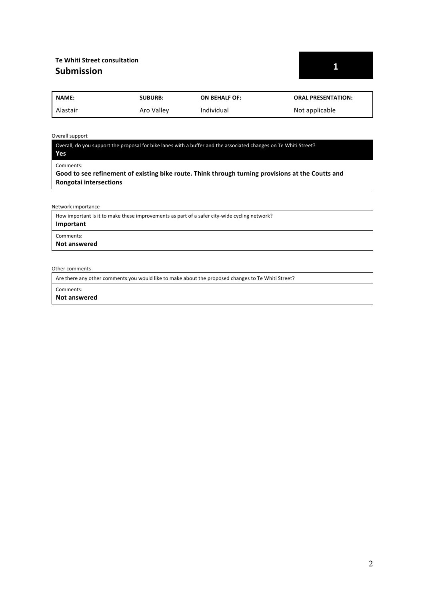| <b>NAME:</b> | <b>SUBURB:</b> | <b>ON BEHALF OF:</b> | <b>ORAL PRESENTATION:</b> |
|--------------|----------------|----------------------|---------------------------|
| Alastair     | Aro Valley     | Individual           | Not applicable            |

Overall support

Overall, do you support the proposal for bike lanes with a buffer and the associated changes on Te Whiti Street? **Yes**

Comments:

Good to see refinement of existing bike route. Think through turning provisions at the Coutts and **Rongotai intersections**

#### Network importance

How important is it to make these improvements as part of a safer city-wide cycling network?

**Important**

Comments: **Not answered**

Other comments

Are there any other comments you would like to make about the proposed changes to Te Whiti Street?

Comments: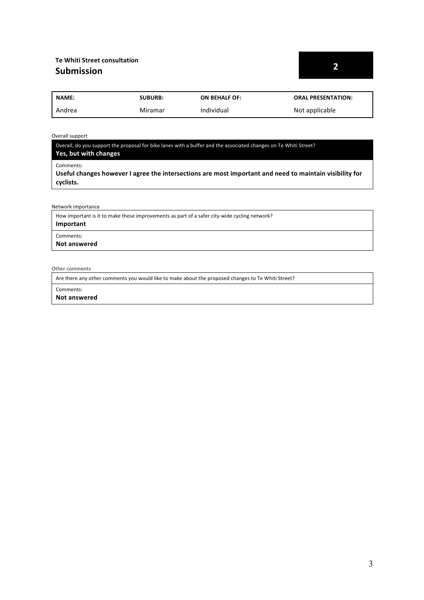# **Te Whiti Street consultation Submission 2**<br>**2**<br>**Submission**

| <b>NAME:</b> | <b>SUBURB:</b> | <b>ON BEHALF OF:</b> | <b>ORAL PRESENTATION:</b> |
|--------------|----------------|----------------------|---------------------------|
| Andrea       | Miramar        | Individual           | Not applicable            |

Overall support

Overall, do you support the proposal for bike lanes with a buffer and the associated changes on Te Whiti Street? **Yes, but with changes** 

Comments:

Useful changes however I agree the intersections are most important and need to maintain visibility for **cyclists.** 

#### Network importance

How important is it to make these improvements as part of a safer city-wide cycling network?

**Important**

Comments: **Not answered**

Other comments

Are there any other comments you would like to make about the proposed changes to Te Whiti Street?

Comments: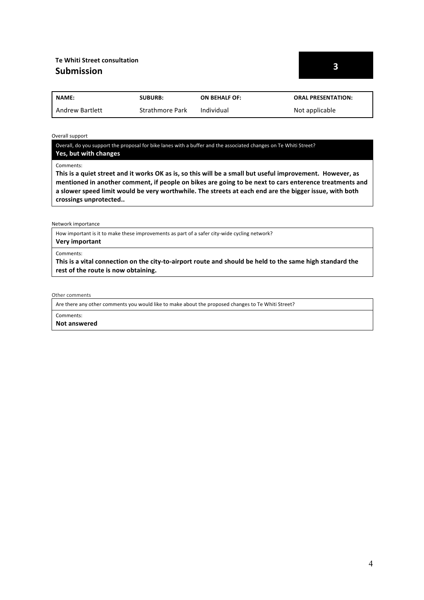| <b>NAME:</b>    | <b>SUBURB:</b>  | <b>ON BEHALF OF:</b> | <b>ORAL PRESENTATION:</b> |
|-----------------|-----------------|----------------------|---------------------------|
| Andrew Bartlett | Strathmore Park | Individual           | Not applicable            |

Overall support

Overall, do you support the proposal for bike lanes with a buffer and the associated changes on Te Whiti Street? Yes, but with changes

#### Comments:

This is a quiet street and it works OK as is, so this will be a small but useful improvement. However, as mentioned in another comment, if people on bikes are going to be next to cars enterence treatments and a slower speed limit would be very worthwhile. The streets at each end are the bigger issue, with both **crossings unprotected..**

Network importance

How important is it to make these improvements as part of a safer city-wide cycling network?

**Very important**

Comments:

This is a vital connection on the city-to-airport route and should be held to the same high standard the rest of the route is now obtaining.

Other comments

Are there any other comments you would like to make about the proposed changes to Te Whiti Street?

Comments: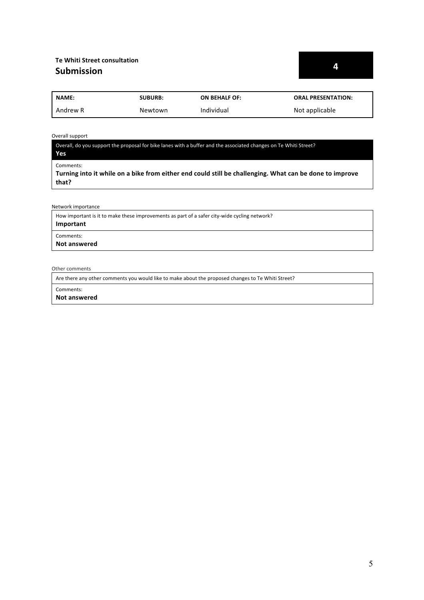| <b>NAME:</b> | <b>SUBURB:</b> | <b>ON BEHALF OF:</b> | <b>ORAL PRESENTATION:</b> |
|--------------|----------------|----------------------|---------------------------|
| Andrew R     | Newtown        | Individual           | Not applicable            |

Overall support

Overall, do you support the proposal for bike lanes with a buffer and the associated changes on Te Whiti Street? **Yes**

Comments:

Turning into it while on a bike from either end could still be challenging. What can be done to improve **that?**

#### Network importance

How important is it to make these improvements as part of a safer city-wide cycling network?

**Important**

Comments: **Not answered**

Other comments

Are there any other comments you would like to make about the proposed changes to Te Whiti Street?

Comments: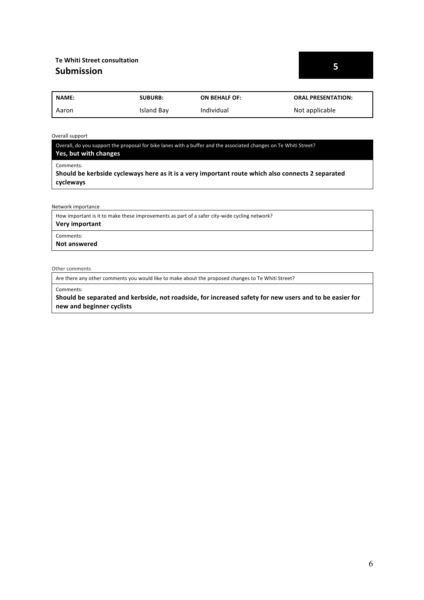| <b>NAME:</b> | <b>SUBURB:</b> | <b>ON BEHALF OF:</b> | <b>ORAL PRESENTATION:</b> |
|--------------|----------------|----------------------|---------------------------|
| Aaron        | Island Bay     | Individual           | Not applicable            |

Overall support

Overall, do you support the proposal for bike lanes with a buffer and the associated changes on Te Whiti Street? **Yes, but with changes** 

Comments:

Should be kerbside cycleways here as it is a very important route which also connects 2 separated **cycleways** 

#### Network importance

How important is it to make these improvements as part of a safer city-wide cycling network?

**Very important**

Comments:

**Not answered** 

#### Other comments

Are there any other comments you would like to make about the proposed changes to Te Whiti Street?

Comments:

Should be separated and kerbside, not roadside, for increased safety for new users and to be easier for **new and beginner cyclists**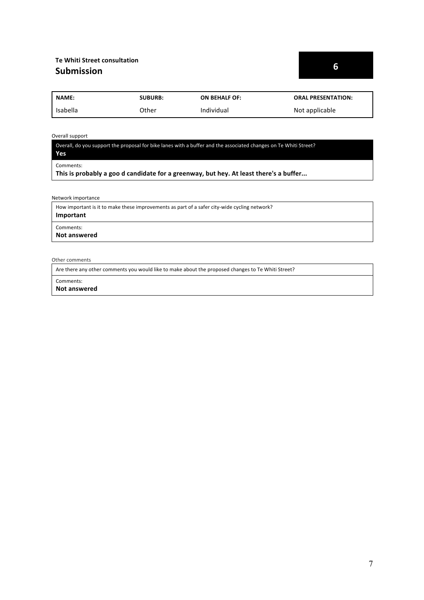| <b>NAME:</b> | <b>SUBURB:</b> | <b>ON BEHALF OF:</b> | <b>ORAL PRESENTATION:</b> |
|--------------|----------------|----------------------|---------------------------|
| Isabella     | Other          | Individual           | Not applicable            |

Overall support

Overall, do you support the proposal for bike lanes with a buffer and the associated changes on Te Whiti Street?

**Yes**

Comments:

This is probably a goo d candidate for a greenway, but hey. At least there's a buffer...

Network importance

How important is it to make these improvements as part of a safer city-wide cycling network?

**Important**

Comments:

**Not answered** 

Other comments

Are there any other comments you would like to make about the proposed changes to Te Whiti Street?

Comments: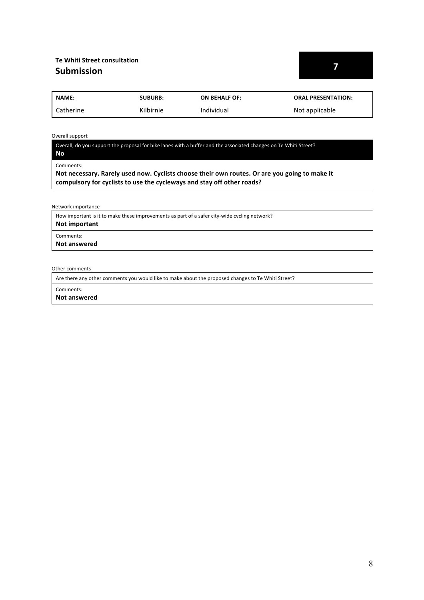# **Te Whiti Street consultation Submission 7**<br>**Submission**

| <b>NAME:</b> | <b>SUBURB:</b> | <b>ON BEHALF OF:</b> | <b>ORAL PRESENTATION:</b> |
|--------------|----------------|----------------------|---------------------------|
| Catherine    | Kilbirnie      | Individual           | Not applicable            |

Overall support

Overall, do you support the proposal for bike lanes with a buffer and the associated changes on Te Whiti Street? **No**

Comments:

Not necessary. Rarely used now. Cyclists choose their own routes. Or are you going to make it compulsory for cyclists to use the cycleways and stay off other roads?

Network importance

How important is it to make these improvements as part of a safer city-wide cycling network?

**Not important** 

Comments:

**Not answered**

Other comments

Are there any other comments you would like to make about the proposed changes to Te Whiti Street?

Comments: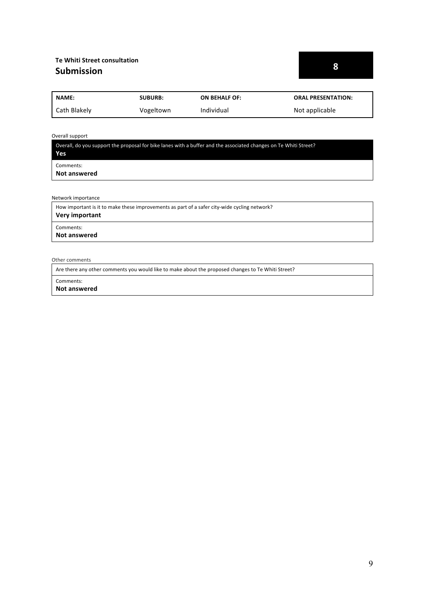| <b>NAME:</b> | <b>SUBURB:</b> | ON BEHALF OF: | <b>ORAL PRESENTATION:</b> |
|--------------|----------------|---------------|---------------------------|
| Cath Blakely | Vogeltown      | Individual    | Not applicable            |

Overall support

Overall, do you support the proposal for bike lanes with a buffer and the associated changes on Te Whiti Street? **Yes** Comments:

**Not answered** 

Network importance

How important is it to make these improvements as part of a safer city-wide cycling network?

**Very important**

Comments:

**Not answered** 

Other comments

Are there any other comments you would like to make about the proposed changes to Te Whiti Street?

Comments: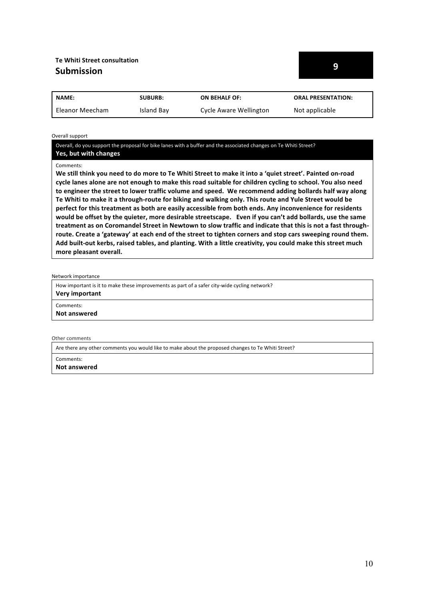| <b>NAME:</b>    | <b>SUBURB:</b> | <b>ON BEHALF OF:</b>   | <b>ORAL PRESENTATION:</b> |
|-----------------|----------------|------------------------|---------------------------|
| Eleanor Meecham | Island Bay     | Cycle Aware Wellington | Not applicable            |

#### Overall support

Overall, do you support the proposal for bike lanes with a buffer and the associated changes on Te Whiti Street? Yes, but with changes

#### Comments:

We still think you need to do more to Te Whiti Street to make it into a 'quiet street'. Painted on-road cycle lanes alone are not enough to make this road suitable for children cycling to school. You also need to engineer the street to lower traffic volume and speed. We recommend adding bollards half way along Te Whiti to make it a through-route for biking and walking only. This route and Yule Street would be perfect for this treatment as both are easily accessible from both ends. Any inconvenience for residents would be offset by the quieter, more desirable streetscape. Even if you can't add bollards, use the same treatment as on Coromandel Street in Newtown to slow traffic and indicate that this is not a fast throughroute. Create a 'gateway' at each end of the street to tighten corners and stop cars sweeping round them. Add built-out kerbs, raised tables, and planting. With a little creativity, you could make this street much more pleasant overall.

#### Network importance

How important is it to make these improvements as part of a safer city-wide cycling network?

**Very important**

Comments:

**Not answered**

Other comments

Are there any other comments you would like to make about the proposed changes to Te Whiti Street?

Comments: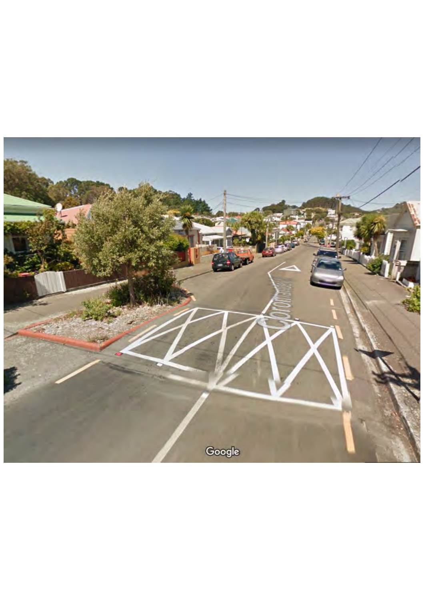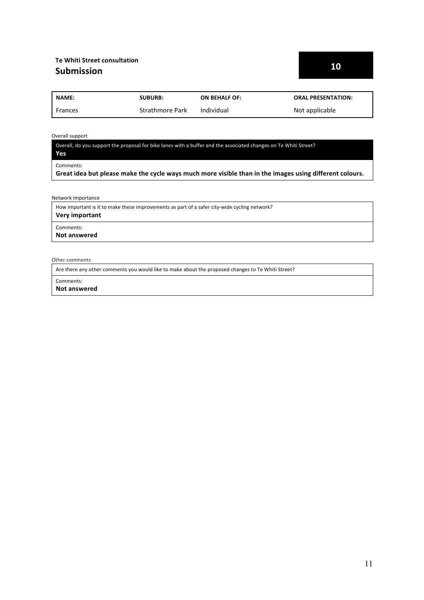| <b>NAME:</b> | <b>SUBURB:</b>  | ON BEHALF OF: | <b>ORAL PRESENTATION:</b> |
|--------------|-----------------|---------------|---------------------------|
| Frances      | Strathmore Park | Individual    | Not applicable            |

Overall support

Overall, do you support the proposal for bike lanes with a buffer and the associated changes on Te Whiti Street?

**Yes**

Comments:

Great idea but please make the cycle ways much more visible than in the images using different colours.

Network importance

How important is it to make these improvements as part of a safer city-wide cycling network?

**Very important**

Comments:

**Not answered** 

Other comments

Are there any other comments you would like to make about the proposed changes to Te Whiti Street?

Comments: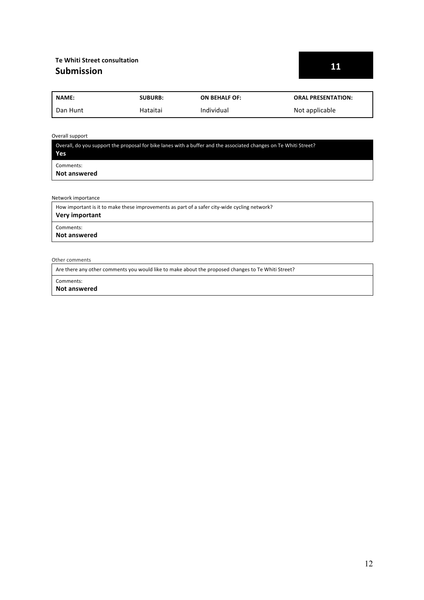| <b>NAME:</b> | <b>SUBURB:</b> | <b>ON BEHALF OF:</b> | <b>ORAL PRESENTATION:</b> |
|--------------|----------------|----------------------|---------------------------|
| Dan Hunt     | Hataitai       | Individual           | Not applicable            |

Overall support

Overall, do you support the proposal for bike lanes with a buffer and the associated changes on Te Whiti Street? **Yes** Comments: **Not answered** 

Network importance

How important is it to make these improvements as part of a safer city-wide cycling network?

**Very important**

Comments:

**Not answered** 

Other comments

Are there any other comments you would like to make about the proposed changes to Te Whiti Street?

Comments: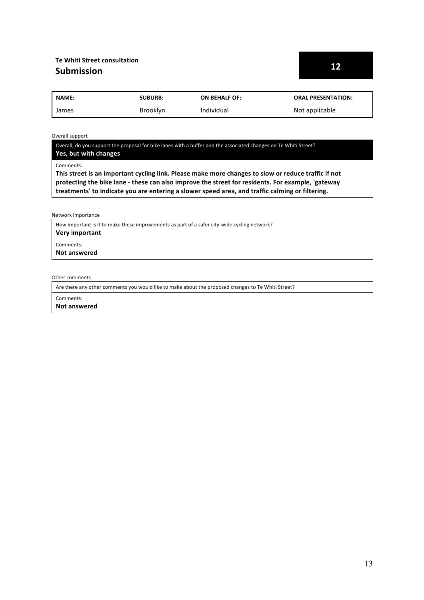| <b>NAME:</b> | <b>SUBURB:</b>  | <b>ON BEHALF OF:</b> | <b>ORAL PRESENTATION:</b> |
|--------------|-----------------|----------------------|---------------------------|
| James        | <b>Brooklyn</b> | Individual           | Not applicable            |

Overall support

Overall, do you support the proposal for bike lanes with a buffer and the associated changes on Te Whiti Street? Yes, but with changes

Comments:

This street is an important cycling link. Please make more changes to slow or reduce traffic if not protecting the bike lane - these can also improve the street for residents. For example, 'gateway treatments' to indicate you are entering a slower speed area, and traffic calming or filtering.

Network importance

How important is it to make these improvements as part of a safer city-wide cycling network?

**Very important**

Comments: **Not answered** 

Other comments

Are there any other comments you would like to make about the proposed changes to Te Whiti Street?

Comments: **Not answered**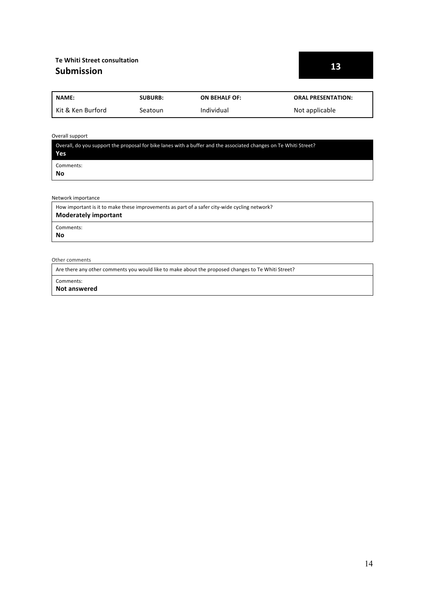# **Te Whiti Street consultation Submission 13**<br>**Submission 13**

| <b>NAME:</b>      | <b>SUBURB:</b> | ON BEHALF OF: | <b>ORAL PRESENTATION:</b> |
|-------------------|----------------|---------------|---------------------------|
| Kit & Ken Burford | Seatoun        | Individual    | Not applicable            |

Overall support

Overall, do you support the proposal for bike lanes with a buffer and the associated changes on Te Whiti Street? **Yes** Comments:

**No**

Network importance

How important is it to make these improvements as part of a safer city-wide cycling network?

#### **Moderately important**

Comments:

**No**

#### Other comments

Are there any other comments you would like to make about the proposed changes to Te Whiti Street?

Comments: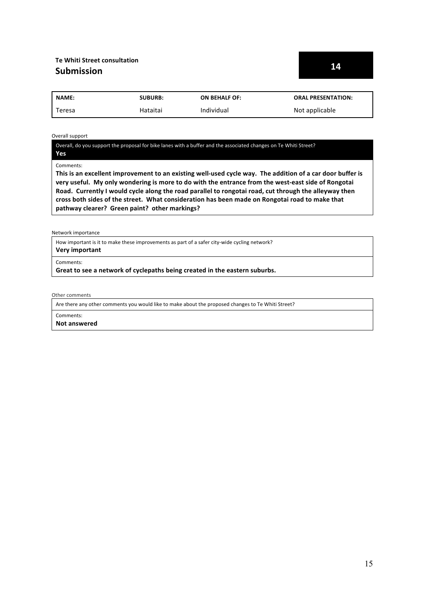| <b>NAME:</b> | <b>SUBURB:</b> | <b>ON BEHALF OF:</b> | <b>ORAL PRESENTATION:</b> |
|--------------|----------------|----------------------|---------------------------|
| Teresa       | Hataitai       | Individual           | Not applicable            |

Overall support

Overall, do you support the proposal for bike lanes with a buffer and the associated changes on Te Whiti Street? **Yes**

Comments:

This is an excellent improvement to an existing well-used cycle way. The addition of a car door buffer is very useful. My only wondering is more to do with the entrance from the west-east side of Rongotai Road. Currently I would cycle along the road parallel to rongotai road, cut through the alleyway then cross both sides of the street. What consideration has been made on Rongotai road to make that pathway clearer? Green paint? other markings?

Network importance

How important is it to make these improvements as part of a safer city-wide cycling network? **Very important**

Comments:

Great to see a network of cyclepaths being created in the eastern suburbs.

Other comments

Are there any other comments you would like to make about the proposed changes to Te Whiti Street?

Comments: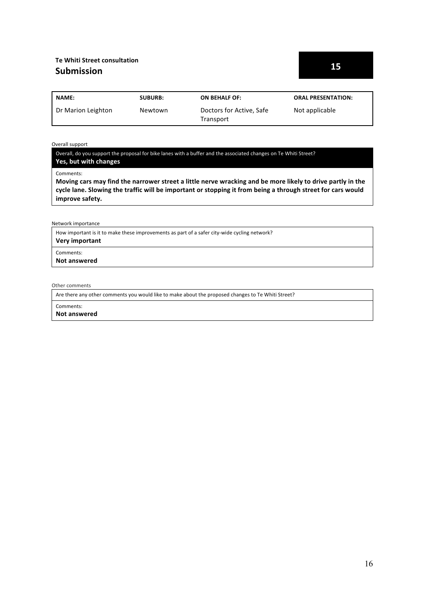| <b>NAME:</b>       | <b>SUBURB:</b> | <b>ON BEHALF OF:</b>                  | <b>ORAL PRESENTATION:</b> |
|--------------------|----------------|---------------------------------------|---------------------------|
| Dr Marion Leighton | Newtown        | Doctors for Active. Safe<br>Transport | Not applicable            |

Overall support

Overall, do you support the proposal for bike lanes with a buffer and the associated changes on Te Whiti Street? **Yes, but with changes** 

Comments:

Moving cars may find the narrower street a little nerve wracking and be more likely to drive partly in the cycle lane. Slowing the traffic will be important or stopping it from being a through street for cars would improve safety.

Network importance

How important is it to make these improvements as part of a safer city-wide cycling network?

**Very important**

Comments:

**Not answered**

Other comments

Are there any other comments you would like to make about the proposed changes to Te Whiti Street?

Comments: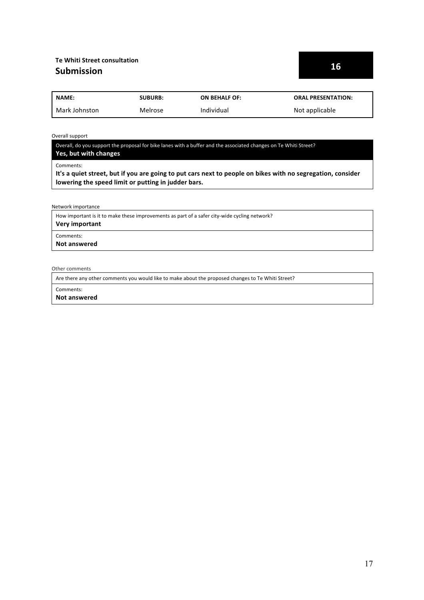# **Te Whiti Street consultation Submission 16**<br>**Submission 16**

| <b>NAME:</b>  | <b>SUBURB:</b> | <b>ON BEHALF OF:</b> | <b>ORAL PRESENTATION:</b> |
|---------------|----------------|----------------------|---------------------------|
| Mark Johnston | Melrose        | Individual           | Not applicable            |

Overall support

Overall, do you support the proposal for bike lanes with a buffer and the associated changes on Te Whiti Street? **Yes, but with changes** 

Comments:

It's a quiet street, but if you are going to put cars next to people on bikes with no segregation, consider lowering the speed limit or putting in judder bars.

Network importance

How important is it to make these improvements as part of a safer city-wide cycling network?

**Very important**

Comments:

**Not answered**

Other comments

Are there any other comments you would like to make about the proposed changes to Te Whiti Street?

Comments: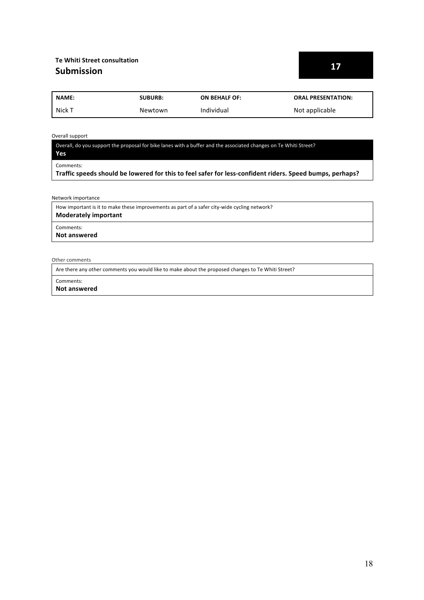| <b>NAME:</b> | <b>SUBURB:</b> | ON BEHALF OF: | <b>ORAL PRESENTATION:</b> |
|--------------|----------------|---------------|---------------------------|
| Nick T       | Newtown        | Individual    | Not applicable            |

Overall support

Overall, do you support the proposal for bike lanes with a buffer and the associated changes on Te Whiti Street?

**Yes**

Comments:

Traffic speeds should be lowered for this to feel safer for less-confident riders. Speed bumps, perhaps?

Network importance

How important is it to make these improvements as part of a safer city-wide cycling network?

#### **Moderately important**

Comments:

**Not answered** 

Other comments

Are there any other comments you would like to make about the proposed changes to Te Whiti Street?

Comments: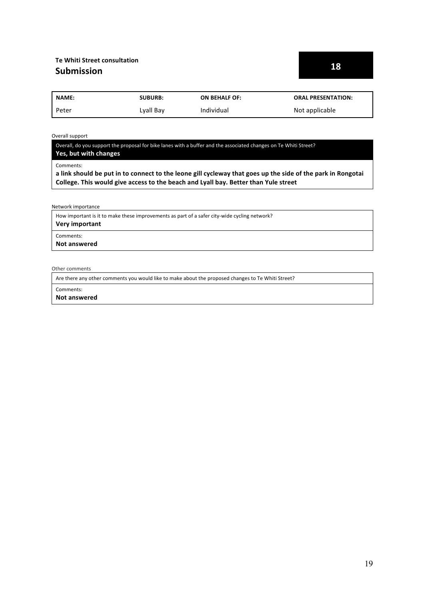#### **Te Whiti Street consultation Submission 18**<br>**Submission 18**

| <b>NAME:</b> | <b>SUBURB:</b> | <b>ON BEHALF OF:</b> | <b>ORAL PRESENTATION:</b> |
|--------------|----------------|----------------------|---------------------------|
| Peter        | Lyall Bay      | Individual           | Not applicable            |

Overall support

Overall, do you support the proposal for bike lanes with a buffer and the associated changes on Te Whiti Street? Yes, but with changes

Comments:

a link should be put in to connect to the leone gill cycleway that goes up the side of the park in Rongotai College. This would give access to the beach and Lyall bay. Better than Yule street

Network importance

How important is it to make these improvements as part of a safer city-wide cycling network?

**Very important**

Comments:

**Not answered** 

Other comments

Are there any other comments you would like to make about the proposed changes to Te Whiti Street?

Comments: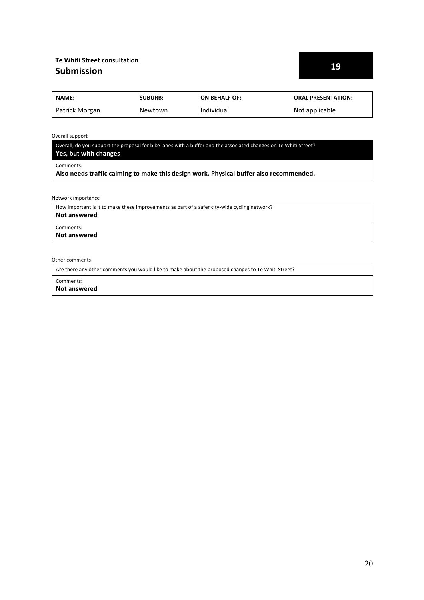| <b>NAME:</b>   | <b>SUBURB:</b> | ON BEHALF OF: | <b>ORAL PRESENTATION:</b> |
|----------------|----------------|---------------|---------------------------|
| Patrick Morgan | Newtown        | Individual    | Not applicable            |

Overall support

Overall, do you support the proposal for bike lanes with a buffer and the associated changes on Te Whiti Street? **Yes, but with changes** 

Comments:

Also needs traffic calming to make this design work. Physical buffer also recommended.

Network importance

How important is it to make these improvements as part of a safer city-wide cycling network?

**Not answered** 

Comments:

**Not answered** 

Other comments

Are there any other comments you would like to make about the proposed changes to Te Whiti Street?

Comments: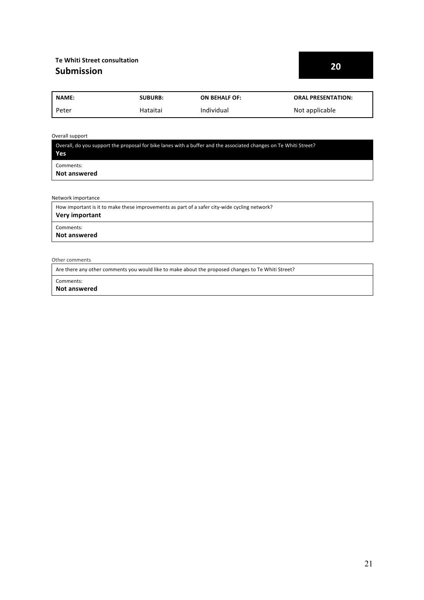| <b>NAME:</b> | <b>SUBURB:</b> | ON BEHALF OF: | <b>ORAL PRESENTATION:</b> |
|--------------|----------------|---------------|---------------------------|
| Peter        | Hataitai       | Individual    | Not applicable            |

Overall support

Overall, do you support the proposal for bike lanes with a buffer and the associated changes on Te Whiti Street? **Yes** Comments: **Not answered** 

Network importance

How important is it to make these improvements as part of a safer city-wide cycling network?

**Very important**

Comments:

**Not answered** 

Other comments

Are there any other comments you would like to make about the proposed changes to Te Whiti Street?

Comments: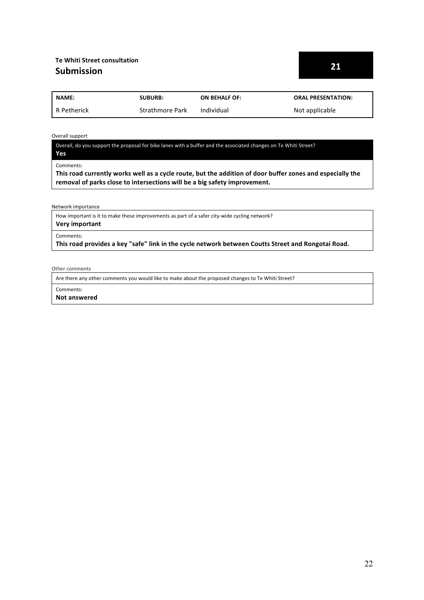| <b>NAME:</b> | <b>SUBURB:</b>  | ON BEHALF OF: | <b>ORAL PRESENTATION:</b> |
|--------------|-----------------|---------------|---------------------------|
| R Petherick  | Strathmore Park | Individual    | Not applicable            |

Overall support

Overall, do you support the proposal for bike lanes with a buffer and the associated changes on Te Whiti Street? **Yes**

Comments:

This road currently works well as a cycle route, but the addition of door buffer zones and especially the removal of parks close to intersections will be a big safety improvement.

Network importance

How important is it to make these improvements as part of a safer city-wide cycling network?

**Very important**

Comments:

This road provides a key "safe" link in the cycle network between Coutts Street and Rongotai Road.

Other comments

Are there any other comments you would like to make about the proposed changes to Te Whiti Street?

Comments: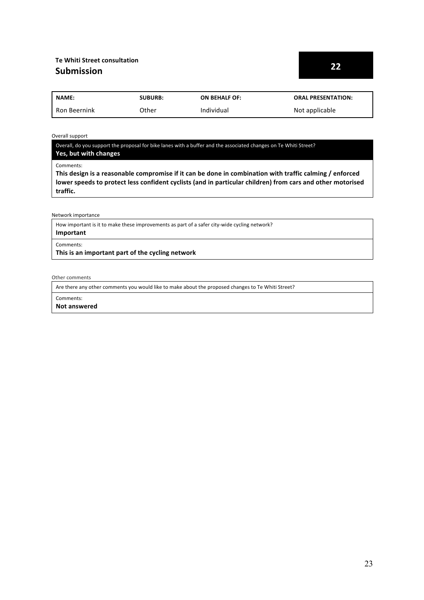| <b>NAME:</b> | <b>SUBURB:</b> | <b>ON BEHALF OF:</b> | <b>ORAL PRESENTATION:</b> |
|--------------|----------------|----------------------|---------------------------|
| Ron Beernink | Other          | Individual           | Not applicable            |

Overall support

Overall, do you support the proposal for bike lanes with a buffer and the associated changes on Te Whiti Street? Yes, but with changes

Comments:

This design is a reasonable compromise if it can be done in combination with traffic calming / enforced lower speeds to protect less confident cyclists (and in particular children) from cars and other motorised **traffic.**

Network importance

How important is it to make these improvements as part of a safer city-wide cycling network?

**Important**

Comments:

This is an important part of the cycling network

Other comments

Are there any other comments you would like to make about the proposed changes to Te Whiti Street?

Comments: **Not answered**

23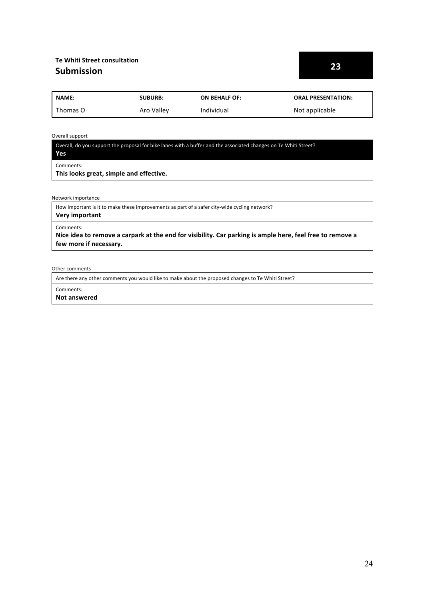| <b>NAME:</b> | <b>SUBURB:</b> | ON BEHALF OF: | <b>ORAL PRESENTATION:</b> |
|--------------|----------------|---------------|---------------------------|
| Thomas O     | Aro Valley     | Individual    | Not applicable            |

Overall support

Overall, do you support the proposal for bike lanes with a buffer and the associated changes on Te Whiti Street? **Yes**

Comments:

This looks great, simple and effective.

Network importance

How important is it to make these improvements as part of a safer city-wide cycling network?

**Very important**

Comments:

Nice idea to remove a carpark at the end for visibility. Car parking is ample here, feel free to remove a few more if necessary.

Other comments

Are there any other comments you would like to make about the proposed changes to Te Whiti Street?

Comments: